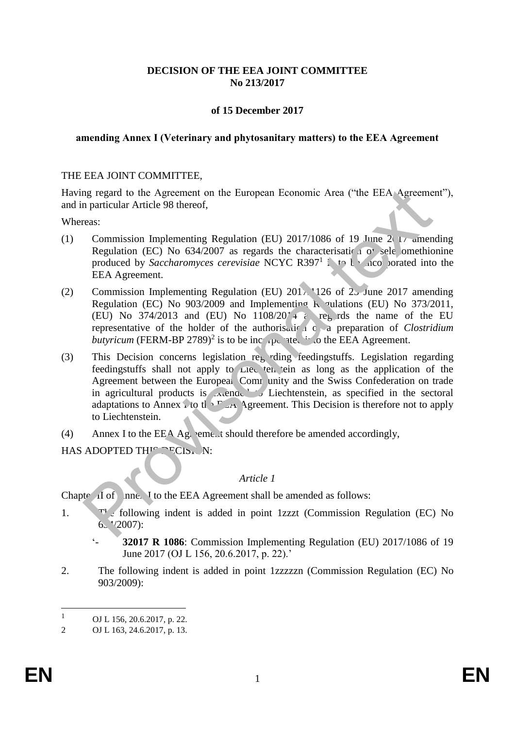## **DECISION OF THE EEA JOINT COMMITTEE No 213/2017**

## **of 15 December 2017**

### **amending Annex I (Veterinary and phytosanitary matters) to the EEA Agreement**

### THE EEA JOINT COMMITTEE,

Having regard to the Agreement on the European Economic Area ("the EEA Agreement"), and in particular Article 98 thereof,

Whereas:

- (1) Commission Implementing Regulation (EU) 2017/1086 of 19 June 2017 amending Regulation (EC) No  $634/2007$  as regards the characterisation of selenomethionine produced by *Saccharomyces cerevisiae* NCYC R397<sup>1</sup> is to be obtained into the EEA Agreement.
- (2) Commission Implementing Regulation (EU)  $201$ <sup>2</sup>, 126 of  $2$ <sub>2</sub> June 2017 amending Regulation (EC) No 903/2009 and Implementing Regulations (EU) No 373/2011, (EU) No 374/2013 and (EU) No  $1108/20' + i$  regards the name of the EU representative of the holder of the authorisation of *clostridium butyricum* (FERM-BP 2789)<sup>2</sup> is to be incorporated into the EEA Agreement.
- (3) This Decision concerns legislation regarding feedingstuffs. Legislation regarding feedingstuffs shall not apply to Liechten tein as long as the application of the Agreement between the European Community and the Swiss Confederation on trade in agricultural products is  $\lambda$  ended to Liechtenstein, as specified in the sectoral adaptations to Annex i to the E<sub>A</sub> Agreement. This Decision is therefore not to apply to Liechtenstein. mg regard to the Agreement on the European Economic Area ("the EEA Agreeme<br>
rearctival Article 98 thereof,<br>
esc.<br>
commission Implementing Regulation (EU) 2017/1086 of 19 June 2t transmended by Saccharomyces cerevisiate NC
- (4) Annex I to the EEA Agreement should therefore be amended accordingly,

HAS ADOPTED THIS DECISION:

#### *Article 1*

Chapter II of  $\Box$  Inne $\Box$  I to the EEA Agreement shall be amended as follows:

- 1. The following indent is added in point 1zzzt (Commission Regulation (EC) No  $6. \sqrt{2007}$ :
	- '- **32017 R 1086**: Commission Implementing Regulation (EU) 2017/1086 of 19 June 2017 (OJ L 156, 20.6.2017, p. 22).'
- 2. The following indent is added in point 1zzzzzn (Commission Regulation (EC) No 903/2009):

 $1 \qquad \text{OJ L } 156, 20.6.2017, \text{p. 22.}$ 

<sup>2</sup> OJ L 163, 24.6.2017, p. 13.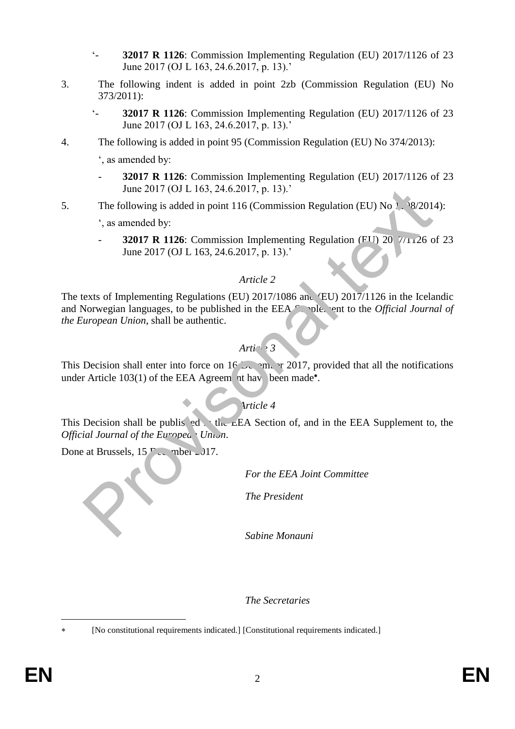- '- **32017 R 1126**: Commission Implementing Regulation (EU) 2017/1126 of 23 June 2017 (OJ L 163, 24.6.2017, p. 13).'
- 3. The following indent is added in point 2zb (Commission Regulation (EU) No 373/2011):
	- '- **32017 R 1126**: Commission Implementing Regulation (EU) 2017/1126 of 23 June 2017 (OJ L 163, 24.6.2017, p. 13).'
- 4. The following is added in point 95 (Commission Regulation (EU) No 374/2013):
	- ', as amended by:
	- **32017 R 1126**: Commission Implementing Regulation (EU) 2017/1126 of 23 June 2017 (OJ L 163, 24.6.2017, p. 13).'
- 5. The following is added in point  $116$  (Commission Regulation (EU) No 1.  $\frac{18}{2014}$ :

', as amended by:

**32017 R 1126**: Commission Implementing Regulation (FU) 20 7/1126 of 23 June 2017 (OJ L 163, 24.6.2017, p. 13).'

## *Article 2*

The texts of Implementing Regulations (EU) 2017/1086 and (EU) 2017/1126 in the Icelandic and Norwegian languages, to be published in the EEA Supplement to the *Official Journal of the European Union*, shall be authentic. June 2017 (OJ L 165, 24.6.2017, p. 13).<br>
The following is added in point 116 (Commission Regulation (EU) No 1, 98/201<br>  $\therefore$  as amended by:<br> **32017 R 1126:** Commission Implementing Regulation (EIT) 20 7/1126 c<br>
June 2017

# *Article 3*

This Decision shall enter into force on  $16$  December 2017, provided that all the notifications under Article  $103(1)$  of the EEA Agreem nt have been made\*.

# *Article 4*

This Decision shall be published in the EEA Section of, and in the EEA Supplement to, the *Official Journal of the European Union.* 

Done at Brussels,  $15 \text{ P}$ <sub>c</sub>, mber 2017.

*For the EEA Joint Committee*

*The President*

*Sabine Monauni*

*The Secretaries*

 $\overline{a}$ 

[No constitutional requirements indicated.] [Constitutional requirements indicated.]